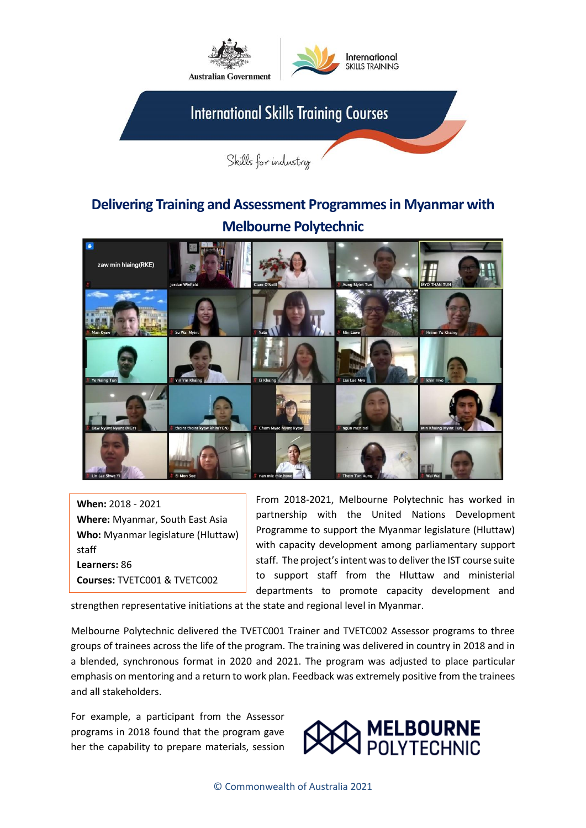

## **Delivering Training and Assessment Programmes in Myanmar with Melbourne Polytechnic**



**When:** 2018 - 2021 **Where:** Myanmar, South East Asia **Who:** Myanmar legislature (Hluttaw) staff **Learners:** 86 **Courses:** TVETC001 & TVETC002

From 2018-2021, Melbourne Polytechnic has worked in partnership with the United Nations Development Programme to support the Myanmar legislature (Hluttaw) with capacity development among parliamentary support staff. The project's intent was to deliver the IST course suite to support staff from the Hluttaw and ministerial departments to promote capacity development and

strengthen representative initiations at the state and regional level in Myanmar.

Melbourne Polytechnic delivered the TVETC001 Trainer and TVETC002 Assessor programs to three groups of trainees across the life of the program. The training was delivered in country in 2018 and in a blended, synchronous format in 2020 and 2021. The program was adjusted to place particular emphasis on mentoring and a return to work plan. Feedback was extremely positive from the trainees and all stakeholders.

For example, a participant from the Assessor programs in 2018 found that the program gave her the capability to prepare materials, session